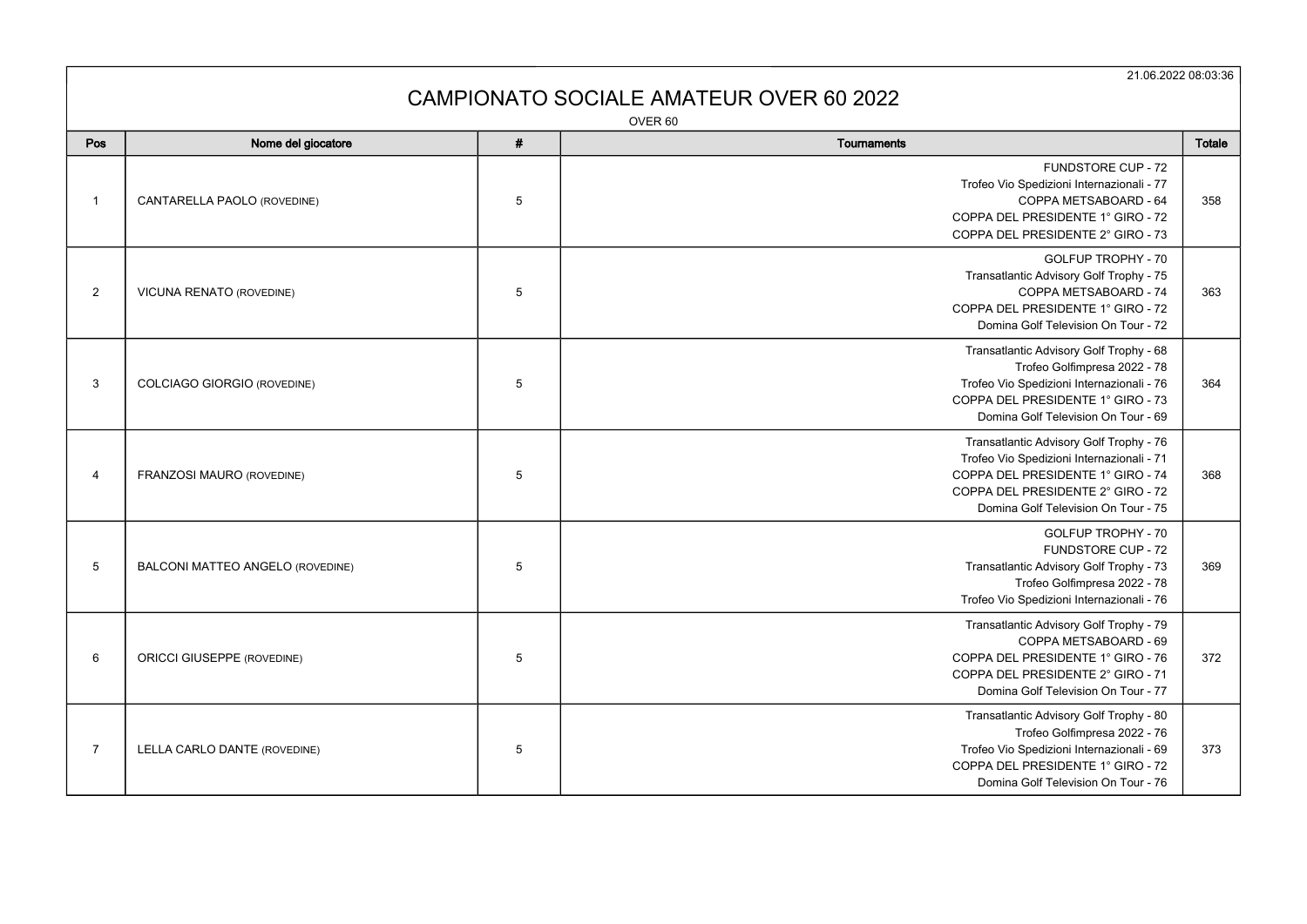21.06.2022 08:03:36

## CAMPIONATO SOCIALE AMATEUR OVER 60 2022

OVER 60

| Pos            | Nome del giocatore                      | # | UVER 00<br>Tournaments                                                                                                                                                                                | Totale |
|----------------|-----------------------------------------|---|-------------------------------------------------------------------------------------------------------------------------------------------------------------------------------------------------------|--------|
| -1             | CANTARELLA PAOLO (ROVEDINE)             | 5 | <b>FUNDSTORE CUP - 72</b><br>Trofeo Vio Spedizioni Internazionali - 77<br>COPPA METSABOARD - 64<br>COPPA DEL PRESIDENTE 1° GIRO - 72<br>COPPA DEL PRESIDENTE 2° GIRO - 73                             | 358    |
| $\overline{2}$ | <b>VICUNA RENATO (ROVEDINE)</b>         | 5 | GOLFUP TROPHY - 70<br>Transatlantic Advisory Golf Trophy - 75<br>COPPA METSABOARD - 74<br>COPPA DEL PRESIDENTE 1° GIRO - 72<br>Domina Golf Television On Tour - 72                                    | 363    |
| 3              | COLCIAGO GIORGIO (ROVEDINE)             | 5 | Transatlantic Advisory Golf Trophy - 68<br>Trofeo Golfimpresa 2022 - 78<br>Trofeo Vio Spedizioni Internazionali - 76<br>COPPA DEL PRESIDENTE 1° GIRO - 73<br>Domina Golf Television On Tour - 69      | 364    |
| 4              | FRANZOSI MAURO (ROVEDINE)               | 5 | Transatlantic Advisory Golf Trophy - 76<br>Trofeo Vio Spedizioni Internazionali - 71<br>COPPA DEL PRESIDENTE 1° GIRO - 74<br>COPPA DEL PRESIDENTE 2° GIRO - 72<br>Domina Golf Television On Tour - 75 | 368    |
| 5              | <b>BALCONI MATTEO ANGELO (ROVEDINE)</b> | 5 | GOLFUP TROPHY - 70<br>FUNDSTORE CUP - 72<br>Transatlantic Advisory Golf Trophy - 73<br>Trofeo Golfimpresa 2022 - 78<br>Trofeo Vio Spedizioni Internazionali - 76                                      | 369    |
| 6              | ORICCI GIUSEPPE (ROVEDINE)              | 5 | Transatlantic Advisory Golf Trophy - 79<br>COPPA METSABOARD - 69<br>COPPA DEL PRESIDENTE 1° GIRO - 76<br>COPPA DEL PRESIDENTE 2° GIRO - 71<br>Domina Golf Television On Tour - 77                     | 372    |
| $\overline{7}$ | LELLA CARLO DANTE (ROVEDINE)            | 5 | Transatlantic Advisory Golf Trophy - 80<br>Trofeo Golfimpresa 2022 - 76<br>Trofeo Vio Spedizioni Internazionali - 69<br>COPPA DEL PRESIDENTE 1° GIRO - 72<br>Domina Golf Television On Tour - 76      | 373    |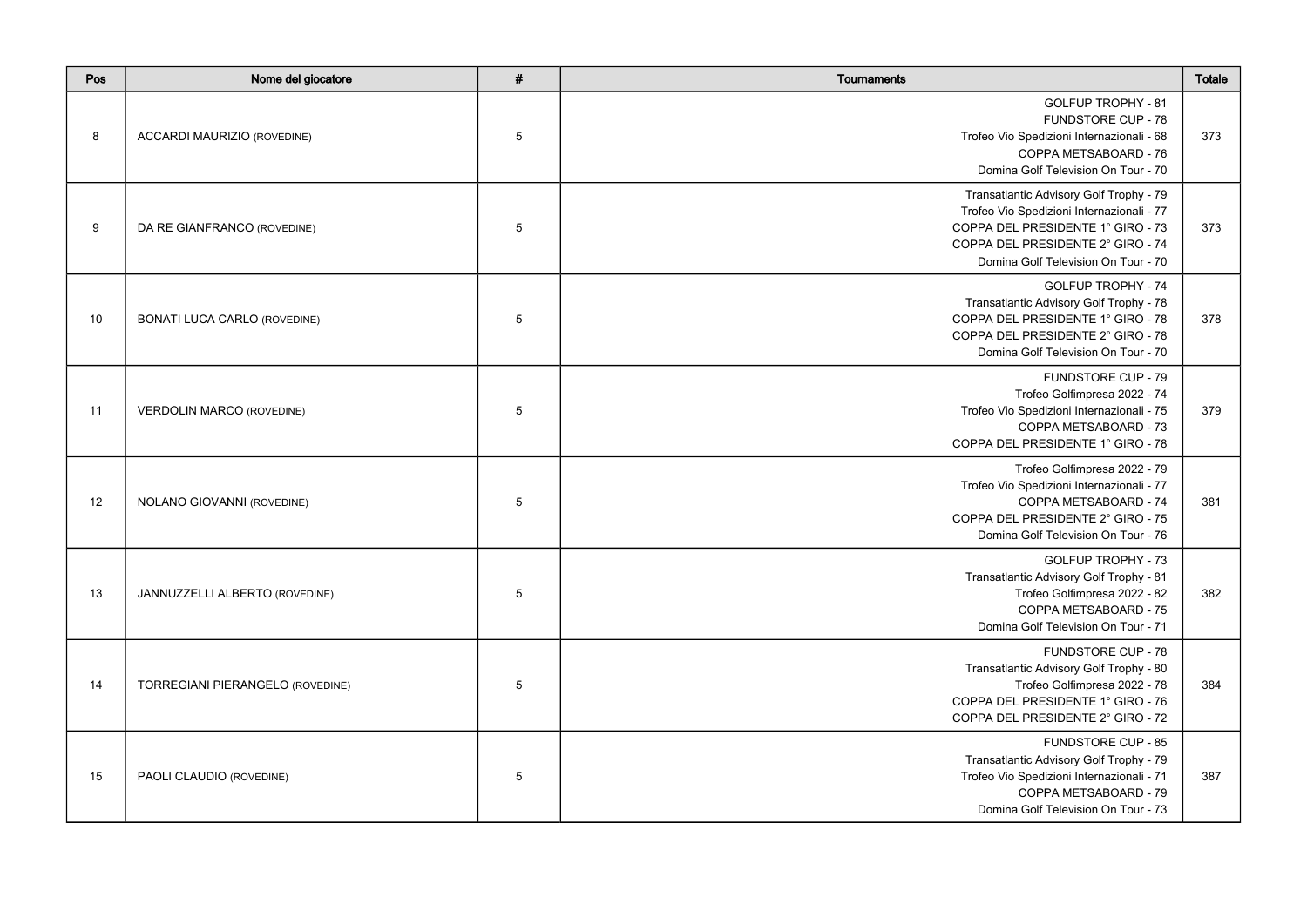| Pos | Nome del giocatore                  | $\pmb{\#}$      | Tournaments                                                                                                                                                                                           | <b>Totale</b> |
|-----|-------------------------------------|-----------------|-------------------------------------------------------------------------------------------------------------------------------------------------------------------------------------------------------|---------------|
| 8   | ACCARDI MAURIZIO (ROVEDINE)         | $5\phantom{.0}$ | <b>GOLFUP TROPHY - 81</b><br><b>FUNDSTORE CUP - 78</b><br>Trofeo Vio Spedizioni Internazionali - 68<br>COPPA METSABOARD - 76<br>Domina Golf Television On Tour - 70                                   | 373           |
| 9   | DA RE GIANFRANCO (ROVEDINE)         | 5               | Transatlantic Advisory Golf Trophy - 79<br>Trofeo Vio Spedizioni Internazionali - 77<br>COPPA DEL PRESIDENTE 1° GIRO - 73<br>COPPA DEL PRESIDENTE 2° GIRO - 74<br>Domina Golf Television On Tour - 70 | 373           |
| 10  | <b>BONATI LUCA CARLO (ROVEDINE)</b> | 5               | <b>GOLFUP TROPHY - 74</b><br>Transatlantic Advisory Golf Trophy - 78<br>COPPA DEL PRESIDENTE 1° GIRO - 78<br>COPPA DEL PRESIDENTE 2° GIRO - 78<br>Domina Golf Television On Tour - 70                 | 378           |
| 11  | <b>VERDOLIN MARCO (ROVEDINE)</b>    | $5\phantom{.0}$ | FUNDSTORE CUP - 79<br>Trofeo Golfimpresa 2022 - 74<br>Trofeo Vio Spedizioni Internazionali - 75<br>COPPA METSABOARD - 73<br>COPPA DEL PRESIDENTE 1° GIRO - 78                                         | 379           |
| 12  | NOLANO GIOVANNI (ROVEDINE)          | 5               | Trofeo Golfimpresa 2022 - 79<br>Trofeo Vio Spedizioni Internazionali - 77<br>COPPA METSABOARD - 74<br>COPPA DEL PRESIDENTE 2° GIRO - 75<br>Domina Golf Television On Tour - 76                        | 381           |
| 13  | JANNUZZELLI ALBERTO (ROVEDINE)      | 5               | GOLFUP TROPHY - 73<br>Transatlantic Advisory Golf Trophy - 81<br>Trofeo Golfimpresa 2022 - 82<br>COPPA METSABOARD - 75<br>Domina Golf Television On Tour - 71                                         | 382           |
| 14  | TORREGIANI PIERANGELO (ROVEDINE)    | 5               | FUNDSTORE CUP - 78<br>Transatlantic Advisory Golf Trophy - 80<br>Trofeo Golfimpresa 2022 - 78<br>COPPA DEL PRESIDENTE 1° GIRO - 76<br>COPPA DEL PRESIDENTE 2° GIRO - 72                               | 384           |
| 15  | PAOLI CLAUDIO (ROVEDINE)            | 5               | <b>FUNDSTORE CUP - 85</b><br>Transatlantic Advisory Golf Trophy - 79<br>Trofeo Vio Spedizioni Internazionali - 71<br>COPPA METSABOARD - 79<br>Domina Golf Television On Tour - 73                     | 387           |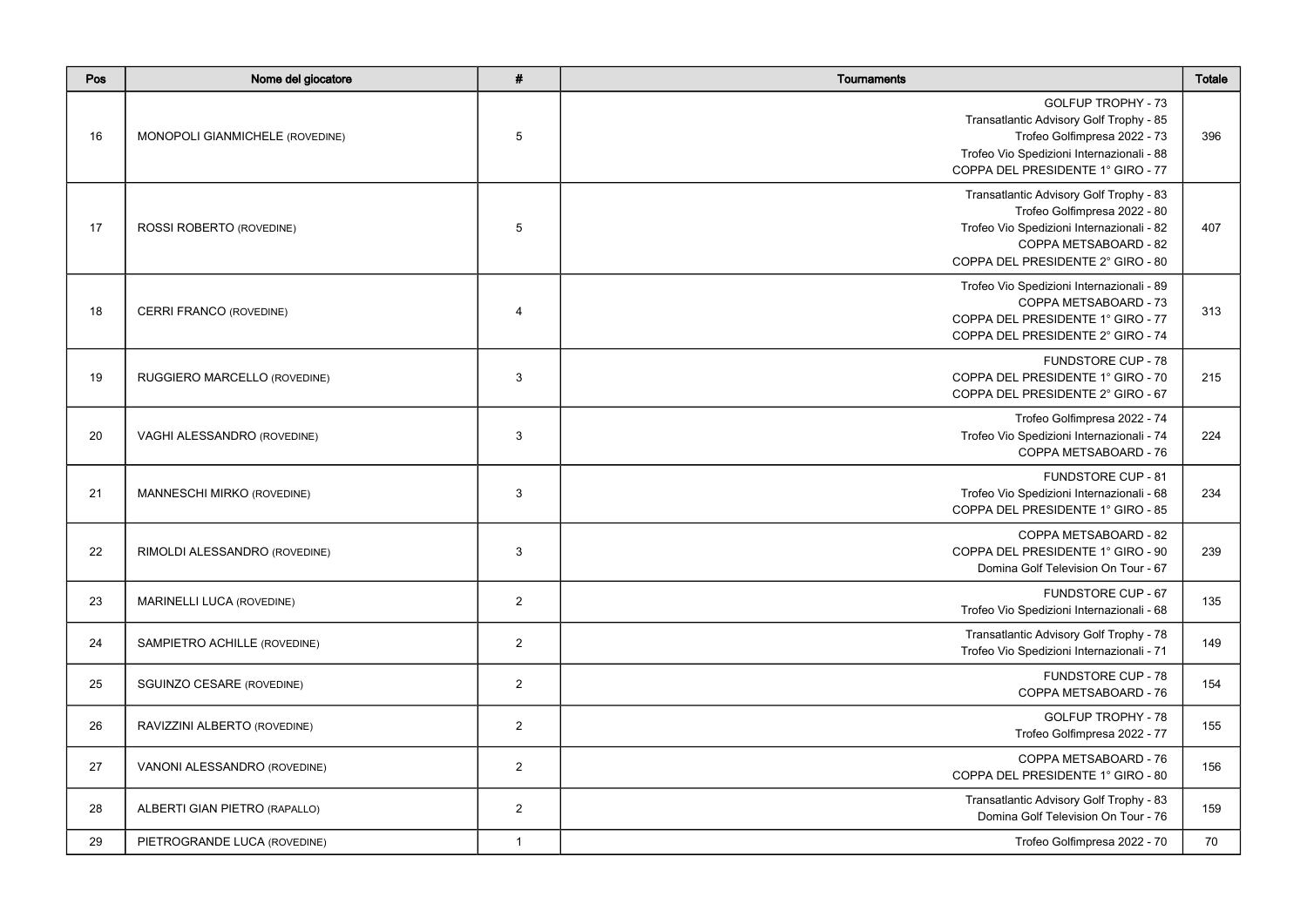| Pos | Nome del giocatore               | $\pmb{\#}$     | Tournaments                                                                                                                                                                            | Totale |
|-----|----------------------------------|----------------|----------------------------------------------------------------------------------------------------------------------------------------------------------------------------------------|--------|
| 16  | MONOPOLI GIANMICHELE (ROVEDINE)  | 5              | <b>GOLFUP TROPHY - 73</b><br>Transatlantic Advisory Golf Trophy - 85<br>Trofeo Golfimpresa 2022 - 73<br>Trofeo Vio Spedizioni Internazionali - 88<br>COPPA DEL PRESIDENTE 1° GIRO - 77 | 396    |
| 17  | ROSSI ROBERTO (ROVEDINE)         | 5              | Transatlantic Advisory Golf Trophy - 83<br>Trofeo Golfimpresa 2022 - 80<br>Trofeo Vio Spedizioni Internazionali - 82<br>COPPA METSABOARD - 82<br>COPPA DEL PRESIDENTE 2° GIRO - 80     | 407    |
| 18  | <b>CERRI FRANCO (ROVEDINE)</b>   | $\overline{4}$ | Trofeo Vio Spedizioni Internazionali - 89<br>COPPA METSABOARD - 73<br>COPPA DEL PRESIDENTE 1° GIRO - 77<br>COPPA DEL PRESIDENTE 2° GIRO - 74                                           | 313    |
| 19  | RUGGIERO MARCELLO (ROVEDINE)     | 3              | <b>FUNDSTORE CUP - 78</b><br>COPPA DEL PRESIDENTE 1° GIRO - 70<br>COPPA DEL PRESIDENTE 2° GIRO - 67                                                                                    | 215    |
| 20  | VAGHI ALESSANDRO (ROVEDINE)      | 3              | Trofeo Golfimpresa 2022 - 74<br>Trofeo Vio Spedizioni Internazionali - 74<br>COPPA METSABOARD - 76                                                                                     | 224    |
| 21  | MANNESCHI MIRKO (ROVEDINE)       | 3              | FUNDSTORE CUP - 81<br>Trofeo Vio Spedizioni Internazionali - 68<br>COPPA DEL PRESIDENTE 1° GIRO - 85                                                                                   | 234    |
| 22  | RIMOLDI ALESSANDRO (ROVEDINE)    | 3              | COPPA METSABOARD - 82<br>COPPA DEL PRESIDENTE 1° GIRO - 90<br>Domina Golf Television On Tour - 67                                                                                      | 239    |
| 23  | MARINELLI LUCA (ROVEDINE)        | $\overline{2}$ | <b>FUNDSTORE CUP - 67</b><br>Trofeo Vio Spedizioni Internazionali - 68                                                                                                                 | 135    |
| 24  | SAMPIETRO ACHILLE (ROVEDINE)     | $\overline{2}$ | Transatlantic Advisory Golf Trophy - 78<br>Trofeo Vio Spedizioni Internazionali - 71                                                                                                   | 149    |
| 25  | <b>SGUINZO CESARE (ROVEDINE)</b> | 2              | FUNDSTORE CUP - 78<br>COPPA METSABOARD - 76                                                                                                                                            | 154    |
| 26  | RAVIZZINI ALBERTO (ROVEDINE)     | $\overline{2}$ | <b>GOLFUP TROPHY - 78</b><br>Trofeo Golfimpresa 2022 - 77                                                                                                                              | 155    |
| 27  | VANONI ALESSANDRO (ROVEDINE)     | $\overline{2}$ | COPPA METSABOARD - 76<br>COPPA DEL PRESIDENTE 1° GIRO - 80                                                                                                                             | 156    |
| 28  | ALBERTI GIAN PIETRO (RAPALLO)    | $\overline{2}$ | Transatlantic Advisory Golf Trophy - 83<br>Domina Golf Television On Tour - 76                                                                                                         | 159    |
| 29  | PIETROGRANDE LUCA (ROVEDINE)     | $\mathbf{1}$   | Trofeo Golfimpresa 2022 - 70                                                                                                                                                           | 70     |